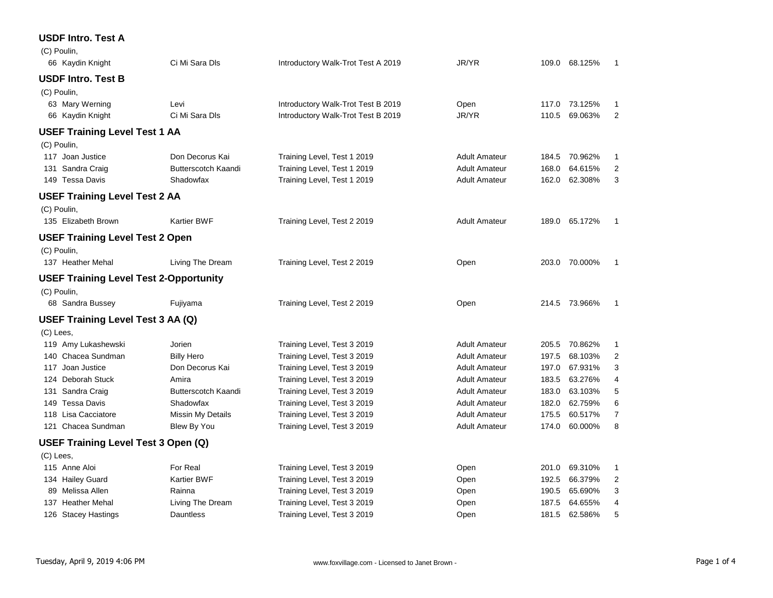## **USDF Intro. Test A**

| (C) Poulin,      |                                               |                            |                                    |                      |       |               |                |
|------------------|-----------------------------------------------|----------------------------|------------------------------------|----------------------|-------|---------------|----------------|
|                  | 66 Kaydin Knight                              | Ci Mi Sara Dls             | Introductory Walk-Trot Test A 2019 | JR/YR                |       | 109.0 68.125% | 1              |
|                  | <b>USDF Intro. Test B</b>                     |                            |                                    |                      |       |               |                |
| (C) Poulin,      |                                               |                            |                                    |                      |       |               |                |
|                  | 63 Mary Werning                               | Levi                       | Introductory Walk-Trot Test B 2019 | Open                 |       | 117.0 73.125% | 1              |
|                  | 66 Kaydin Knight                              | Ci Mi Sara Dls             | Introductory Walk-Trot Test B 2019 | JR/YR                | 110.5 | 69.063%       | $\overline{2}$ |
|                  | <b>USEF Training Level Test 1 AA</b>          |                            |                                    |                      |       |               |                |
| (C) Poulin,      |                                               |                            |                                    |                      |       |               |                |
| 117 Joan Justice |                                               | Don Decorus Kai            | Training Level, Test 1 2019        | <b>Adult Amateur</b> | 184.5 | 70.962%       | 1              |
| 131 Sandra Craig |                                               | <b>Butterscotch Kaandi</b> | Training Level, Test 1 2019        | <b>Adult Amateur</b> | 168.0 | 64.615%       | $\overline{c}$ |
| 149 Tessa Davis  |                                               | Shadowfax                  | Training Level, Test 1 2019        | <b>Adult Amateur</b> | 162.0 | 62.308%       | 3              |
|                  | <b>USEF Training Level Test 2 AA</b>          |                            |                                    |                      |       |               |                |
| (C) Poulin,      |                                               |                            |                                    |                      |       |               |                |
|                  | 135 Elizabeth Brown                           | <b>Kartier BWF</b>         | Training Level, Test 2 2019        | <b>Adult Amateur</b> |       | 189.0 65.172% | $\mathbf{1}$   |
|                  | <b>USEF Training Level Test 2 Open</b>        |                            |                                    |                      |       |               |                |
| (C) Poulin,      |                                               |                            |                                    |                      |       |               |                |
|                  | 137 Heather Mehal                             | Living The Dream           | Training Level, Test 2 2019        | Open                 |       | 203.0 70.000% | 1              |
|                  | <b>USEF Training Level Test 2-Opportunity</b> |                            |                                    |                      |       |               |                |
| (C) Poulin,      |                                               |                            |                                    |                      |       |               |                |
|                  | 68 Sandra Bussey                              | Fujiyama                   | Training Level, Test 2 2019        | Open                 |       | 214.5 73.966% | 1              |
|                  | USEF Training Level Test 3 AA (Q)             |                            |                                    |                      |       |               |                |
| (C) Lees,        |                                               |                            |                                    |                      |       |               |                |
|                  | 119 Amy Lukashewski                           | Jorien                     | Training Level, Test 3 2019        | <b>Adult Amateur</b> |       | 205.5 70.862% | 1              |
|                  | 140 Chacea Sundman                            | <b>Billy Hero</b>          | Training Level, Test 3 2019        | <b>Adult Amateur</b> | 197.5 | 68.103%       | 2              |
| 117 Joan Justice |                                               | Don Decorus Kai            | Training Level, Test 3 2019        | <b>Adult Amateur</b> | 197.0 | 67.931%       | 3              |
|                  | 124 Deborah Stuck                             | Amira                      | Training Level, Test 3 2019        | <b>Adult Amateur</b> | 183.5 | 63.276%       | 4              |
| 131 Sandra Craig |                                               | <b>Butterscotch Kaandi</b> | Training Level, Test 3 2019        | <b>Adult Amateur</b> | 183.0 | 63.103%       | 5              |
| 149 Tessa Davis  |                                               | Shadowfax                  | Training Level, Test 3 2019        | <b>Adult Amateur</b> | 182.0 | 62.759%       | 6              |
|                  | 118 Lisa Cacciatore                           | Missin My Details          | Training Level, Test 3 2019        | <b>Adult Amateur</b> | 175.5 | 60.517%       | 7              |
|                  | 121 Chacea Sundman                            | Blew By You                | Training Level, Test 3 2019        | <b>Adult Amateur</b> | 174.0 | 60.000%       | 8              |
|                  | USEF Training Level Test 3 Open (Q)           |                            |                                    |                      |       |               |                |
| (C) Lees,        |                                               |                            |                                    |                      |       |               |                |
| 115 Anne Aloi    |                                               | For Real                   | Training Level, Test 3 2019        | Open                 | 201.0 | 69.310%       | 1              |
| 134 Hailey Guard |                                               | <b>Kartier BWF</b>         | Training Level, Test 3 2019        | Open                 | 192.5 | 66.379%       | 2              |
|                  | 89 Melissa Allen                              | Rainna                     | Training Level, Test 3 2019        | Open                 | 190.5 | 65.690%       | 3              |
|                  | 137 Heather Mehal                             | Living The Dream           | Training Level, Test 3 2019        | Open                 | 187.5 | 64.655%       | 4              |
|                  | 126 Stacey Hastings                           | Dauntless                  | Training Level, Test 3 2019        | Open                 | 181.5 | 62.586%       | 5              |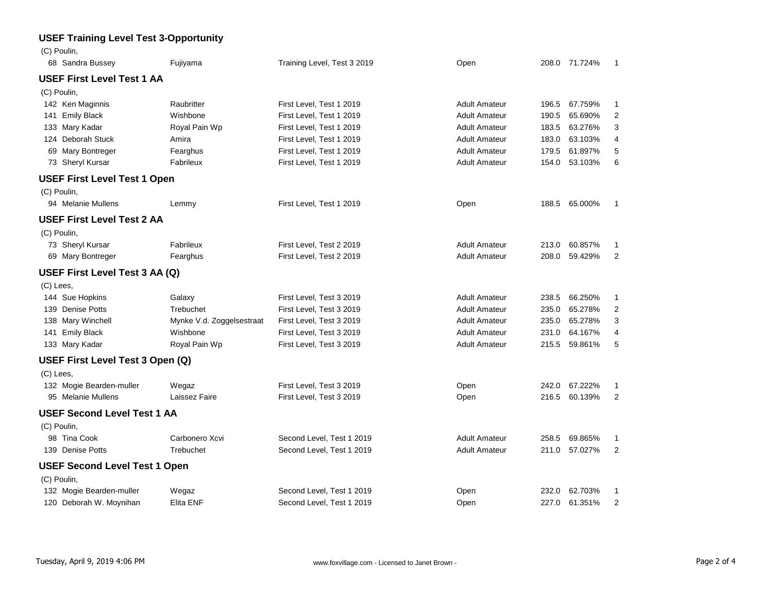## **USEF Training Level Test 3-Opportunity**

| (C) Poulin,                          |                           |                             |                      |       |               |                |
|--------------------------------------|---------------------------|-----------------------------|----------------------|-------|---------------|----------------|
| 68 Sandra Bussey                     | Fujiyama                  | Training Level, Test 3 2019 | Open                 |       | 208.0 71.724% | $\mathbf{1}$   |
| <b>USEF First Level Test 1 AA</b>    |                           |                             |                      |       |               |                |
| (C) Poulin,                          |                           |                             |                      |       |               |                |
| 142 Ken Maginnis                     | Raubritter                | First Level, Test 1 2019    | <b>Adult Amateur</b> | 196.5 | 67.759%       | $\mathbf{1}$   |
| 141 Emily Black                      | Wishbone                  | First Level, Test 1 2019    | <b>Adult Amateur</b> | 190.5 | 65.690%       | $\overline{2}$ |
| 133 Mary Kadar                       | Royal Pain Wp             | First Level, Test 1 2019    | <b>Adult Amateur</b> | 183.5 | 63.276%       | 3              |
| 124 Deborah Stuck                    | Amira                     | First Level, Test 1 2019    | <b>Adult Amateur</b> | 183.0 | 63.103%       | 4              |
| 69 Mary Bontreger                    | Fearghus                  | First Level, Test 1 2019    | <b>Adult Amateur</b> | 179.5 | 61.897%       | 5              |
| 73 Sheryl Kursar                     | Fabrileux                 | First Level, Test 1 2019    | <b>Adult Amateur</b> | 154.0 | 53.103%       | 6              |
| <b>USEF First Level Test 1 Open</b>  |                           |                             |                      |       |               |                |
| (C) Poulin,                          |                           |                             |                      |       |               |                |
| 94 Melanie Mullens                   | Lemmy                     | First Level, Test 1 2019    | Open                 |       | 188.5 65.000% | $\overline{1}$ |
| <b>USEF First Level Test 2 AA</b>    |                           |                             |                      |       |               |                |
| (C) Poulin,                          |                           |                             |                      |       |               |                |
| 73 Sheryl Kursar                     | Fabrileux                 | First Level, Test 2 2019    | <b>Adult Amateur</b> | 213.0 | 60.857%       | 1              |
| 69 Mary Bontreger                    | Fearghus                  | First Level, Test 2 2019    | <b>Adult Amateur</b> | 208.0 | 59.429%       | $\overline{2}$ |
| USEF First Level Test 3 AA (Q)       |                           |                             |                      |       |               |                |
| (C) Lees,                            |                           |                             |                      |       |               |                |
| 144 Sue Hopkins                      | Galaxy                    | First Level, Test 3 2019    | <b>Adult Amateur</b> | 238.5 | 66.250%       | $\mathbf{1}$   |
| 139 Denise Potts                     | Trebuchet                 | First Level, Test 3 2019    | <b>Adult Amateur</b> | 235.0 | 65.278%       | $\overline{2}$ |
| 138 Mary Winchell                    | Mynke V.d. Zoggelsestraat | First Level, Test 3 2019    | <b>Adult Amateur</b> | 235.0 | 65.278%       | 3              |
| 141 Emily Black                      | Wishbone                  | First Level, Test 3 2019    | <b>Adult Amateur</b> | 231.0 | 64.167%       | 4              |
| 133 Mary Kadar                       | Royal Pain Wp             | First Level, Test 3 2019    | <b>Adult Amateur</b> | 215.5 | 59.861%       | 5              |
| USEF First Level Test 3 Open (Q)     |                           |                             |                      |       |               |                |
| (C) Lees,                            |                           |                             |                      |       |               |                |
| 132 Mogie Bearden-muller             | Wegaz                     | First Level, Test 3 2019    | Open                 | 242.0 | 67.222%       | 1              |
| 95 Melanie Mullens                   | Laissez Faire             | First Level, Test 3 2019    | Open                 | 216.5 | 60.139%       | $\overline{2}$ |
| <b>USEF Second Level Test 1 AA</b>   |                           |                             |                      |       |               |                |
| (C) Poulin,                          |                           |                             |                      |       |               |                |
| 98 Tina Cook                         | Carbonero Xcvi            | Second Level, Test 1 2019   | <b>Adult Amateur</b> | 258.5 | 69.865%       | 1              |
| 139 Denise Potts                     | Trebuchet                 | Second Level, Test 1 2019   | <b>Adult Amateur</b> | 211.0 | 57.027%       | $\overline{2}$ |
| <b>USEF Second Level Test 1 Open</b> |                           |                             |                      |       |               |                |
| (C) Poulin,                          |                           |                             |                      |       |               |                |
| 132 Mogie Bearden-muller             | Wegaz                     | Second Level, Test 1 2019   | Open                 | 232.0 | 62.703%       | 1              |
| 120 Deborah W. Moynihan              | Elita ENF                 | Second Level, Test 1 2019   | Open                 | 227.0 | 61.351%       | 2              |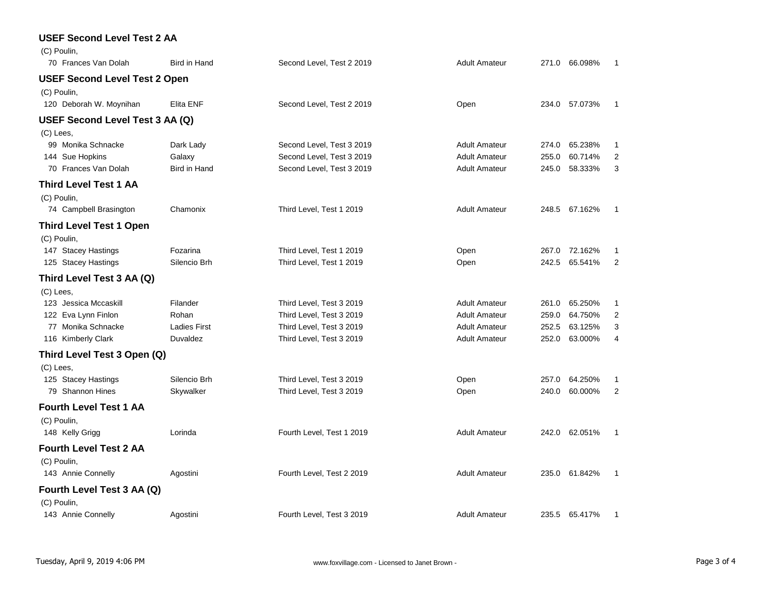| <b>USEF Second Level Test 2 AA</b>   |                     |                           |                      |       |               |                |
|--------------------------------------|---------------------|---------------------------|----------------------|-------|---------------|----------------|
| (C) Poulin,                          |                     |                           |                      |       |               |                |
| 70 Frances Van Dolah                 | Bird in Hand        | Second Level, Test 2 2019 | <b>Adult Amateur</b> | 271.0 | 66.098%       | 1              |
| <b>USEF Second Level Test 2 Open</b> |                     |                           |                      |       |               |                |
| (C) Poulin,                          |                     |                           |                      |       |               |                |
| 120 Deborah W. Moynihan              | Elita ENF           | Second Level, Test 2 2019 | Open                 | 234.0 | 57.073%       | 1              |
| USEF Second Level Test 3 AA (Q)      |                     |                           |                      |       |               |                |
| (C) Lees,                            |                     |                           |                      |       |               |                |
| 99 Monika Schnacke                   | Dark Lady           | Second Level, Test 3 2019 | <b>Adult Amateur</b> | 274.0 | 65.238%       | 1              |
| 144 Sue Hopkins                      | Galaxy              | Second Level, Test 3 2019 | <b>Adult Amateur</b> | 255.0 | 60.714%       | $\overline{2}$ |
| 70 Frances Van Dolah                 | Bird in Hand        | Second Level, Test 3 2019 | <b>Adult Amateur</b> | 245.0 | 58.333%       | 3              |
| Third Level Test 1 AA                |                     |                           |                      |       |               |                |
| (C) Poulin,                          |                     |                           |                      |       |               |                |
| 74 Campbell Brasington               | Chamonix            | Third Level, Test 1 2019  | <b>Adult Amateur</b> |       | 248.5 67.162% | 1              |
| <b>Third Level Test 1 Open</b>       |                     |                           |                      |       |               |                |
| (C) Poulin,                          |                     |                           |                      |       |               |                |
| 147 Stacey Hastings                  | Fozarina            | Third Level, Test 1 2019  | Open                 |       | 267.0 72.162% | 1              |
| 125 Stacey Hastings                  | Silencio Brh        | Third Level, Test 1 2019  | Open                 | 242.5 | 65.541%       | $\overline{2}$ |
| Third Level Test 3 AA (Q)            |                     |                           |                      |       |               |                |
| (C) Lees,                            |                     |                           |                      |       |               |                |
| 123 Jessica Mccaskill                | Filander            | Third Level, Test 3 2019  | <b>Adult Amateur</b> | 261.0 | 65.250%       | 1              |
| 122 Eva Lynn Finlon                  | Rohan               | Third Level, Test 3 2019  | <b>Adult Amateur</b> | 259.0 | 64.750%       | 2              |
| 77 Monika Schnacke                   | <b>Ladies First</b> | Third Level, Test 3 2019  | <b>Adult Amateur</b> | 252.5 | 63.125%       | 3              |
| 116 Kimberly Clark                   | Duvaldez            | Third Level, Test 3 2019  | <b>Adult Amateur</b> | 252.0 | 63.000%       | 4              |
| Third Level Test 3 Open (Q)          |                     |                           |                      |       |               |                |
| $(C)$ Lees,                          |                     |                           |                      |       |               |                |
| 125 Stacey Hastings                  | Silencio Brh        | Third Level, Test 3 2019  | Open                 | 257.0 | 64.250%       | 1              |
| 79 Shannon Hines                     | Skywalker           | Third Level, Test 3 2019  | Open                 | 240.0 | 60.000%       | $\overline{2}$ |
| Fourth Level Test 1 AA               |                     |                           |                      |       |               |                |
| (C) Poulin,                          |                     |                           |                      |       |               |                |
| 148 Kelly Grigg                      | Lorinda             | Fourth Level, Test 1 2019 | <b>Adult Amateur</b> | 242.0 | 62.051%       | 1              |
| <b>Fourth Level Test 2 AA</b>        |                     |                           |                      |       |               |                |
| (C) Poulin,                          |                     |                           |                      |       |               |                |
| 143 Annie Connelly                   | Agostini            | Fourth Level, Test 2 2019 | <b>Adult Amateur</b> |       | 235.0 61.842% | 1              |
| Fourth Level Test 3 AA (Q)           |                     |                           |                      |       |               |                |
| (C) Poulin,                          |                     |                           |                      |       |               |                |
| 143 Annie Connelly                   | Agostini            | Fourth Level, Test 3 2019 | <b>Adult Amateur</b> |       | 235.5 65.417% | 1              |
|                                      |                     |                           |                      |       |               |                |